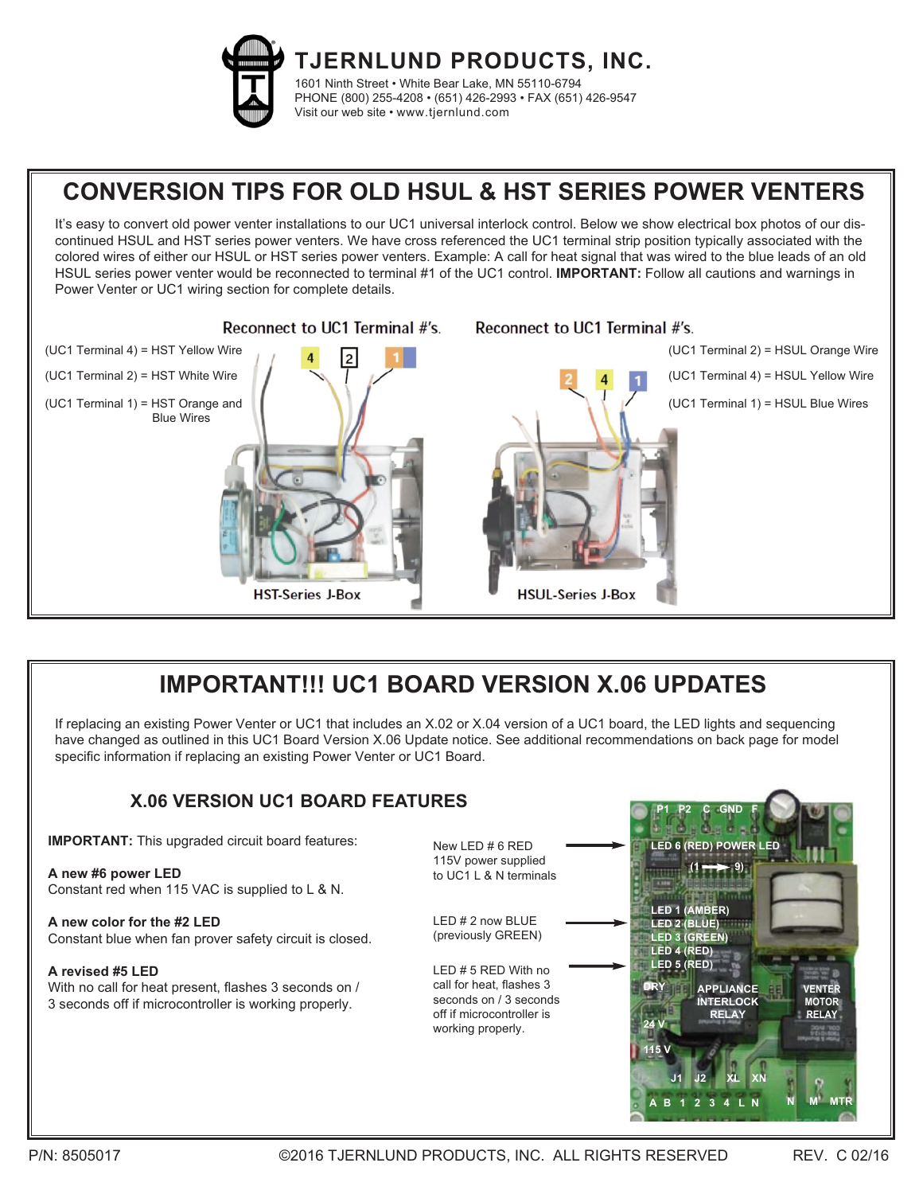

**TJERNLUND PRODUCTS, INC.** 1601 Ninth Street • White Bear Lake, MN 55110-6794 PHONE (800) 255-4208 • (651) 426-2993 • FAX (651) 426-9547 Visit our web site • www.tjernlund.com

# **CONVERSION TIPS FOR OLD HSUL & HST SERIES POWER VENTERS**

It's easy to convert old power venter installations to our UC1 universal interlock control. Below we show electrical box photos of our discontinued HSUL and HST series power venters. We have cross referenced the UC1 terminal strip position typically associated with the colored wires of either our HSUL or HST series power venters. Example: A call for heat signal that was wired to the blue leads of an old HSUL series power venter would be reconnected to terminal #1 of the UC1 control. **IMPORTANT:** Follow all cautions and warnings in Power Venter or UC1 wiring section for complete details.



## **IMPORTANT!!! UC1 BOARD VERSION X.06 UPDATES**

If replacing an existing Power Venter or UC1 that includes an X.02 or X.04 version of a UC1 board, the LED lights and sequencing have changed as outlined in this UC1 Board Version X.06 Update notice. See additional recommendations on back page for model specific information if replacing an existing Power Venter or UC1 Board.

#### **IMPORTANT:** This upgraded circuit board features: **A new #6 power LED** Constant red when 115 VAC is supplied to L & N. **A new color for the #2 LED** Constant blue when fan prover safety circuit is closed. **A revised #5 LED** With no call for heat present, flashes 3 seconds on / 3 seconds off if microcontroller is working properly. LED # 2 now BLUE (previously GREEN) New LED # 6 RED 115V power supplied to UC1 L & N terminals LED # 5 RED With no call for heat, flashes 3 seconds on / 3 seconds off if microcontroller is working properly. **X.06 VERSION UC1 BOARD FEATURES LED 1 (AMBER) LED 2 (BLUE) LED 3 (GREEN) LED 4 (RED) LED 5 (RED) LED 6 (RED) POWER LED DRY 24 V 115 V APPLIANCE INTERLOCK RELAY VENTER MOTOR RELAY A B 1 2 3 4 L N J1 J2 XL XN P1 P2 C GND F**  $(1 \rightarrow 9)$ **N M MTR**